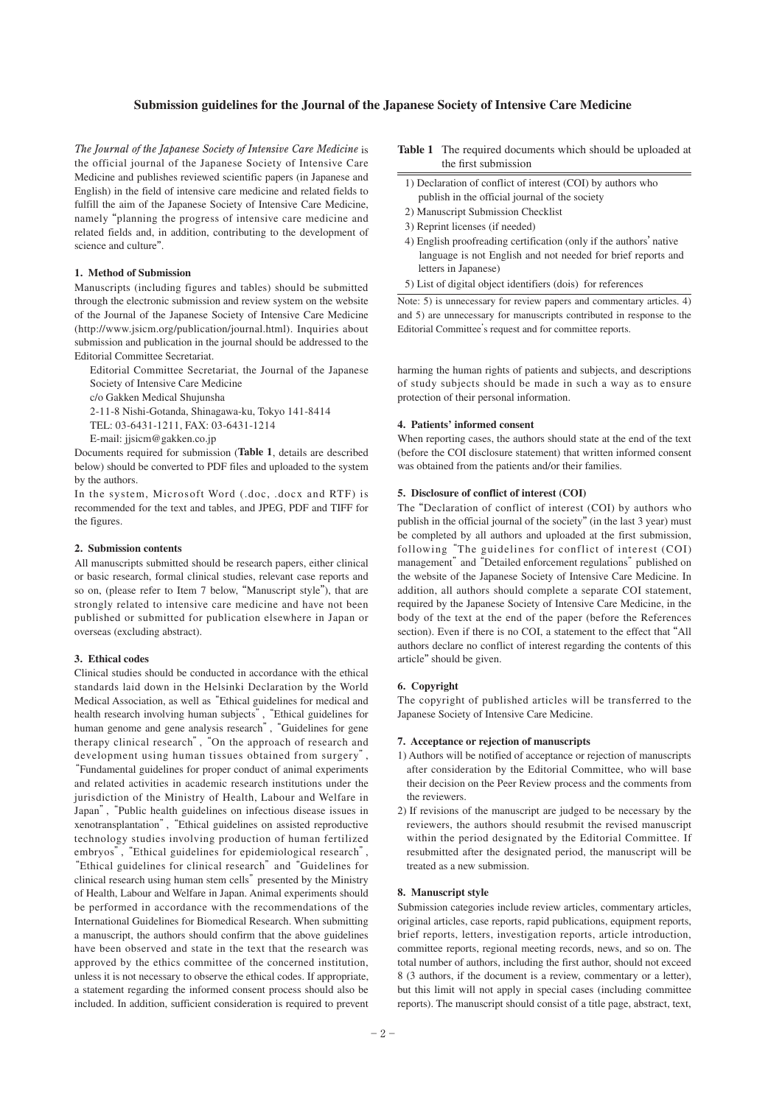#### **Submission guidelines for the Journal of the Japanese Society of Intensive Care Medicine**

*The Journal of the Japanese Society of Intensive Care Medicine* is the official journal of the Japanese Society of Intensive Care Medicine and publishes reviewed scientific papers (in Japanese and English) in the field of intensive care medicine and related fields to fulfill the aim of the Japanese Society of Intensive Care Medicine, namely "planning the progress of intensive care medicine and related fields and, in addition, contributing to the development of science and culture".

#### **1. Method of Submission**

Manuscripts (including figures and tables) should be submitted through the electronic submission and review system on the website of the Journal of the Japanese Society of Intensive Care Medicine (http://www.jsicm.org/publication/journal.html). Inquiries about submission and publication in the journal should be addressed to the Editorial Committee Secretariat.

 Editorial Committee Secretariat, the Journal of the Japanese Society of Intensive Care Medicine

c/o Gakken Medical Shujunsha

2-11-8 Nishi-Gotanda, Shinagawa-ku, Tokyo 141-8414

TEL: 03-6431-1211, FAX: 03-6431-1214

E-mail: jjsicm@gakken.co.jp

Documents required for submission (**Table 1**, details are described below) should be converted to PDF files and uploaded to the system by the authors.

In the system, Microsoft Word (.doc, .docx and RTF) is recommended for the text and tables, and JPEG, PDF and TIFF for the figures.

#### **2. Submission contents**

All manuscripts submitted should be research papers, either clinical or basic research, formal clinical studies, relevant case reports and so on, (please refer to Item 7 below, "Manuscript style"), that are strongly related to intensive care medicine and have not been published or submitted for publication elsewhere in Japan or overseas (excluding abstract).

#### **3. Ethical codes**

Clinical studies should be conducted in accordance with the ethical standards laid down in the Helsinki Declaration by the World Medical Association, as well as "Ethical guidelines for medical and health research involving human subjects", "Ethical guidelines for human genome and gene analysis research", "Guidelines for gene therapy clinical research", "On the approach of research and development using human tissues obtained from surgery", "Fundamental guidelines for proper conduct of animal experiments and related activities in academic research institutions under the jurisdiction of the Ministry of Health, Labour and Welfare in Japan", "Public health guidelines on infectious disease issues in xenotransplantation", "Ethical guidelines on assisted reproductive technology studies involving production of human fertilized embryos", "Ethical guidelines for epidemiological research", "Ethical guidelines for clinical research" and "Guidelines for clinical research using human stem cells" presented by the Ministry of Health, Labour and Welfare in Japan. Animal experiments should be performed in accordance with the recommendations of the International Guidelines for Biomedical Research. When submitting a manuscript, the authors should confirm that the above guidelines have been observed and state in the text that the research was approved by the ethics committee of the concerned institution, unless it is not necessary to observe the ethical codes. If appropriate, a statement regarding the informed consent process should also be included. In addition, sufficient consideration is required to prevent

- **Table 1** The required documents which should be uploaded at the first submission
	- 1) Declaration of conflict of interest (COI) by authors who publish in the official journal of the society
- 2) Manuscript Submission Checklist
- 3) Reprint licenses (if needed)
- 4) English proofreading certification (only if the authors' native language is not English and not needed for brief reports and letters in Japanese)
- 5) List of digital object identifiers (dois) for references

Note: 5) is unnecessary for review papers and commentary articles. 4) and 5) are unnecessary for manuscripts contributed in response to the Editorial Committee's request and for committee reports.

harming the human rights of patients and subjects, and descriptions of study subjects should be made in such a way as to ensure protection of their personal information.

# **4. Patients' informed consent**

When reporting cases, the authors should state at the end of the text (before the COI disclosure statement) that written informed consent was obtained from the patients and/or their families.

## **5. Disclosure of conflict of interest (COI)**

The "Declaration of conflict of interest (COI) by authors who publish in the official journal of the society" (in the last 3 year) must be completed by all authors and uploaded at the first submission, following "The guidelines for conflict of interest (COI) management" and "Detailed enforcement regulations" published on the website of the Japanese Society of Intensive Care Medicine. In addition, all authors should complete a separate COI statement, required by the Japanese Society of Intensive Care Medicine, in the body of the text at the end of the paper (before the References section). Even if there is no COI, a statement to the effect that "All authors declare no conflict of interest regarding the contents of this article" should be given.

# **6. Copyright**

The copyright of published articles will be transferred to the Japanese Society of Intensive Care Medicine.

# **7. Acceptance or rejection of manuscripts**

- 1) Authors will be notified of acceptance or rejection of manuscripts after consideration by the Editorial Committee, who will base their decision on the Peer Review process and the comments from the reviewers.
- 2) If revisions of the manuscript are judged to be necessary by the reviewers, the authors should resubmit the revised manuscript within the period designated by the Editorial Committee. If resubmitted after the designated period, the manuscript will be treated as a new submission.

#### **8. Manuscript style**

Submission categories include review articles, commentary articles, original articles, case reports, rapid publications, equipment reports, brief reports, letters, investigation reports, article introduction, committee reports, regional meeting records, news, and so on. The total number of authors, including the first author, should not exceed 8 (3 authors, if the document is a review, commentary or a letter), but this limit will not apply in special cases (including committee reports). The manuscript should consist of a title page, abstract, text,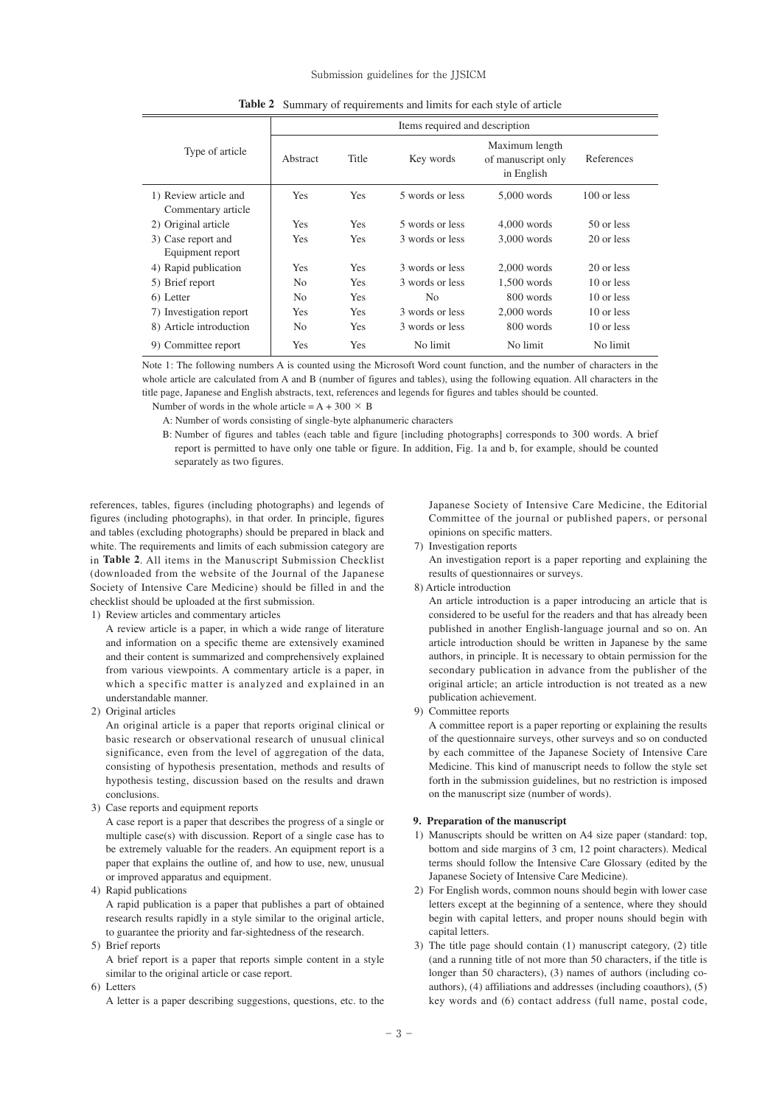#### Submission guidelines for the JJSICM

| Type of article         | Items required and description |            |                 |                                                    |               |
|-------------------------|--------------------------------|------------|-----------------|----------------------------------------------------|---------------|
|                         | Abstract                       | Title      | Key words       | Maximum length<br>of manuscript only<br>in English | References    |
| 1) Review article and   | <b>Yes</b>                     | <b>Yes</b> | 5 words or less | $5.000$ words                                      | $100$ or less |
| Commentary article      |                                |            |                 |                                                    |               |
| 2) Original article     | <b>Yes</b>                     | <b>Yes</b> | 5 words or less | $4.000$ words                                      | 50 or less    |
| 3) Case report and      | <b>Yes</b>                     | Yes        | 3 words or less | $3,000$ words                                      | 20 or less    |
| Equipment report        |                                |            |                 |                                                    |               |
| 4) Rapid publication    | <b>Yes</b>                     | <b>Yes</b> | 3 words or less | $2.000$ words                                      | 20 or less    |
| 5) Brief report         | N <sub>0</sub>                 | <b>Yes</b> | 3 words or less | $1,500$ words                                      | 10 or less    |
| 6) Letter               | N <sub>0</sub>                 | <b>Yes</b> | N <sub>o</sub>  | 800 words                                          | 10 or less    |
| 7) Investigation report | <b>Yes</b>                     | <b>Yes</b> | 3 words or less | $2.000$ words                                      | 10 or less    |
| 8) Article introduction | N <sub>0</sub>                 | <b>Yes</b> | 3 words or less | 800 words                                          | 10 or less    |
| 9) Committee report     | Yes                            | Yes        | No limit        | No limit                                           | No limit      |

Note 1: The following numbers A is counted using the Microsoft Word count function, and the number of characters in the whole article are calculated from A and B (number of figures and tables), using the following equation. All characters in the title page, Japanese and English abstracts, text, references and legends for figures and tables should be counted.

Number of words in the whole article =  $A + 300 \times B$ 

A: Number of words consisting of single-byte alphanumeric characters

 B: Number of figures and tables (each table and figure [including photographs] corresponds to 300 words. A brief report is permitted to have only one table or figure. In addition, Fig. 1a and b, for example, should be counted separately as two figures.

references, tables, figures (including photographs) and legends of figures (including photographs), in that order. In principle, figures and tables (excluding photographs) should be prepared in black and white. The requirements and limits of each submission category are in **Table 2**. All items in the Manuscript Submission Checklist (downloaded from the website of the Journal of the Japanese Society of Intensive Care Medicine) should be filled in and the checklist should be uploaded at the first submission.

1) Review articles and commentary articles

 A review article is a paper, in which a wide range of literature and information on a specific theme are extensively examined and their content is summarized and comprehensively explained from various viewpoints. A commentary article is a paper, in which a specific matter is analyzed and explained in an understandable manner.

2) Original articles

 An original article is a paper that reports original clinical or basic research or observational research of unusual clinical significance, even from the level of aggregation of the data, consisting of hypothesis presentation, methods and results of hypothesis testing, discussion based on the results and drawn conclusions.

3) Case reports and equipment reports

 A case report is a paper that describes the progress of a single or multiple case(s) with discussion. Report of a single case has to be extremely valuable for the readers. An equipment report is a paper that explains the outline of, and how to use, new, unusual or improved apparatus and equipment.

4) Rapid publications

 A rapid publication is a paper that publishes a part of obtained research results rapidly in a style similar to the original article, to guarantee the priority and far-sightedness of the research.

5) Brief reports

 A brief report is a paper that reports simple content in a style similar to the original article or case report.

6) Letters

A letter is a paper describing suggestions, questions, etc. to the

Japanese Society of Intensive Care Medicine, the Editorial Committee of the journal or published papers, or personal opinions on specific matters.

7) Investigation reports

 An investigation report is a paper reporting and explaining the results of questionnaires or surveys.

8) Article introduction

 An article introduction is a paper introducing an article that is considered to be useful for the readers and that has already been published in another English-language journal and so on. An article introduction should be written in Japanese by the same authors, in principle. It is necessary to obtain permission for the secondary publication in advance from the publisher of the original article; an article introduction is not treated as a new publication achievement.

9) Committee reports

 A committee report is a paper reporting or explaining the results of the questionnaire surveys, other surveys and so on conducted by each committee of the Japanese Society of Intensive Care Medicine. This kind of manuscript needs to follow the style set forth in the submission guidelines, but no restriction is imposed on the manuscript size (number of words).

#### **9. Preparation of the manuscript**

- 1) Manuscripts should be written on A4 size paper (standard: top, bottom and side margins of 3 cm, 12 point characters). Medical terms should follow the Intensive Care Glossary (edited by the Japanese Society of Intensive Care Medicine).
- 2) For English words, common nouns should begin with lower case letters except at the beginning of a sentence, where they should begin with capital letters, and proper nouns should begin with capital letters.
- 3) The title page should contain (1) manuscript category, (2) title (and a running title of not more than 50 characters, if the title is longer than 50 characters), (3) names of authors (including coauthors), (4) affiliations and addresses (including coauthors), (5) key words and (6) contact address (full name, postal code,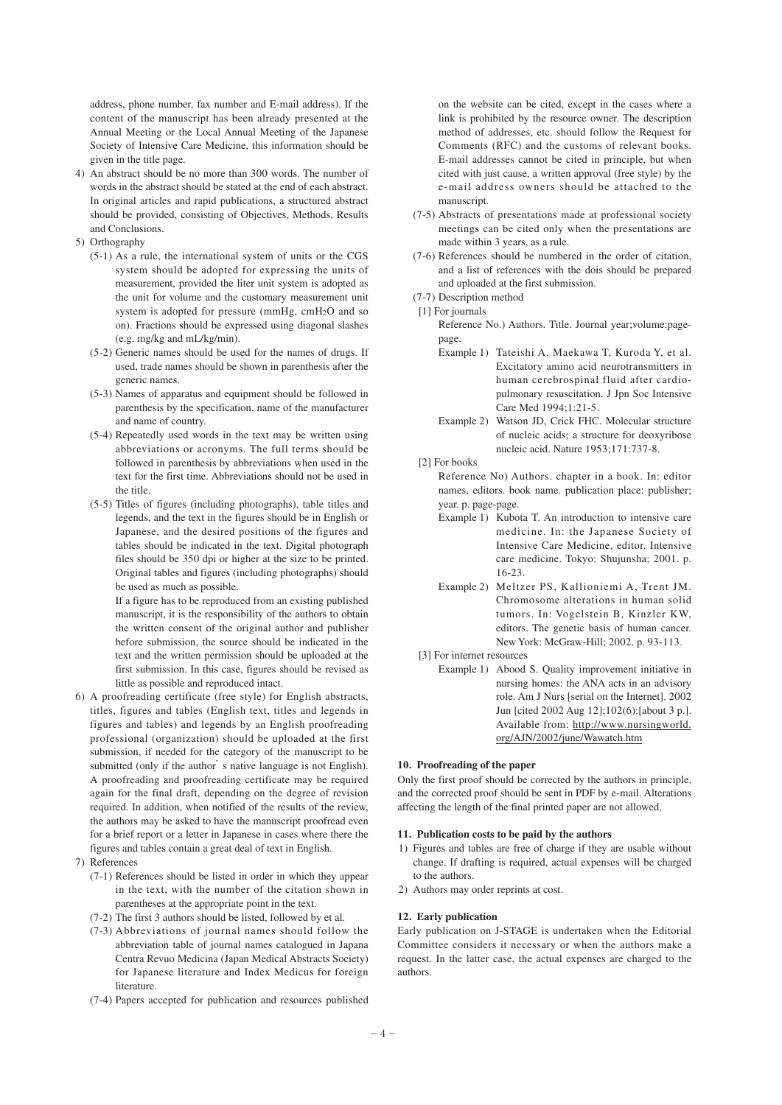address, phone number, fax number and E-mail address). If the content of the manuscript has been already presented at the Annual Meeting or the Local Annual Meeting of the Japanese Society of Intensive Care Medicine, this information should be given in the title page.

- 4) An abstract should be no more than 300 words. The number of words in the abstract should be stated at the end of each abstract. In original articles and rapid publications, a structured abstract should be provided, consisting of Objectives, Methods, Results and Conclusions.
- 5) Orthography
	- (5-1) As a rule, the international system of units or the CGS system should be adopted for expressing the units of measurement, provided the liter unit system is adopted as the unit for volume and the customary measurement unit system is adopted for pressure (mmHg, cmH2O and so on). Fractions should be expressed using diagonal slashes (e.g. mg/kg and mL/kg/min).
	- (5-2) Generic names should be used for the names of drugs. If used, trade names should be shown in parenthesis after the generic names.
	- (5-3) Names of apparatus and equipment should be followed in parenthesis by the specification, name of the manufacturer and name of country.
	- (5-4) Repeatedly used words in the text may be written using abbreviations or acronyms. The full terms should be followed in parenthesis by abbreviations when used in the text for the first time. Abbreviations should not be used in the title.
	- (5-5) Titles of figures (including photographs), table titles and legends, and the text in the figures should be in English or Japanese, and the desired positions of the figures and tables should be indicated in the text. Digital photograph files should be 350 dpi or higher at the size to be printed. Original tables and figures (including photographs) should be used as much as possible.

 If a figure has to be reproduced from an existing published manuscript, it is the responsibility of the authors to obtain the written consent of the original author and publisher before submission, the source should be indicated in the text and the written permission should be uploaded at the first submission. In this case, figures should be revised as little as possible and reproduced intact.

- 6) A proofreading certificate (free style) for English abstracts, titles, figures and tables (English text, titles and legends in figures and tables) and legends by an English proofreading professional (organization) should be uploaded at the first submission, if needed for the category of the manuscript to be submitted (only if the author's native language is not English). A proofreading and proofreading certificate may be required again for the final draft, depending on the degree of revision required. In addition, when notified of the results of the review, the authors may be asked to have the manuscript proofread even for a brief report or a letter in Japanese in cases where there the figures and tables contain a great deal of text in English.
- 7) References
	- (7-1) References should be listed in order in which they appear in the text, with the number of the citation shown in parentheses at the appropriate point in the text.
	- (7-2) The first 3 authors should be listed, followed by et al.
	- (7-3) Abbreviations of journal names should follow the abbreviation table of journal names catalogued in Japana Centra Revuo Medicina (Japan Medical Abstracts Society) for Japanese literature and Index Medicus for foreign literature.
	- (7-4) Papers accepted for publication and resources published

on the website can be cited, except in the cases where a link is prohibited by the resource owner. The description method of addresses, etc. should follow the Request for Comments (RFC) and the customs of relevant books. E-mail addresses cannot be cited in principle, but when cited with just cause, a written approval (free style) by the e-mail address owners should be attached to the manuscript.

- (7-5) Abstracts of presentations made at professional society meetings can be cited only when the presentations are made within 3 years, as a rule.
- (7-6) References should be numbered in the order of citation, and a list of references with the dois should be prepared and uploaded at the first submission.
- (7-7) Description method
- [1] For journals
	- Reference No.) Authors. Title. Journal year;volume:pagepage.
	- Example 1) Tateishi A, Maekawa T, Kuroda Y, et al. Excitatory amino acid neurotransmitters in human cerebrospinal fluid after cardiopulmonary resuscitation. J Jpn Soc Intensive Care Med 1994;1:21-5.
	- Example 2) Watson JD, Crick FHC. Molecular structure of nucleic acids; a structure for deoxyribose nucleic acid. Nature 1953;171:737-8.
- [2] For books
	- Reference No) Authors. chapter in a book. In: editor names, editors. book name. publication place: publisher; year. p. page-page.
	- Example 1) Kubota T. An introduction to intensive care medicine. In: the Japanese Society of Intensive Care Medicine, editor. Intensive care medicine. Tokyo: Shujunsha; 2001. p. 16-23.
	- Example 2) Meltzer PS, Kallioniemi A, Trent JM. Chromosome alterations in human solid tumors. In: Vogelstein B, Kinzler KW, editors. The genetic basis of human cancer. New York: McGraw-Hill; 2002. p. 93-113.
- [3] For internet resources
	- Example 1) Abood S. Quality improvement initiative in nursing homes: the ANA acts in an advisory role. Am J Nurs [serial on the Internet]. 2002 Jun [cited 2002 Aug 12];102(6):[about 3 p.]. Available from: http://www.nursingworld. org/AJN/2002/june/Wawatch.htm

# **10. Proofreading of the paper**

Only the first proof should be corrected by the authors in principle, and the corrected proof should be sent in PDF by e-mail. Alterations affecting the length of the final printed paper are not allowed.

#### **11. Publication costs to be paid by the authors**

- 1) Figures and tables are free of charge if they are usable without change. If drafting is required, actual expenses will be charged to the authors.
- 2) Authors may order reprints at cost.

#### **12. Early publication**

Early publication on J-STAGE is undertaken when the Editorial Committee considers it necessary or when the authors make a request. In the latter case, the actual expenses are charged to the authors.